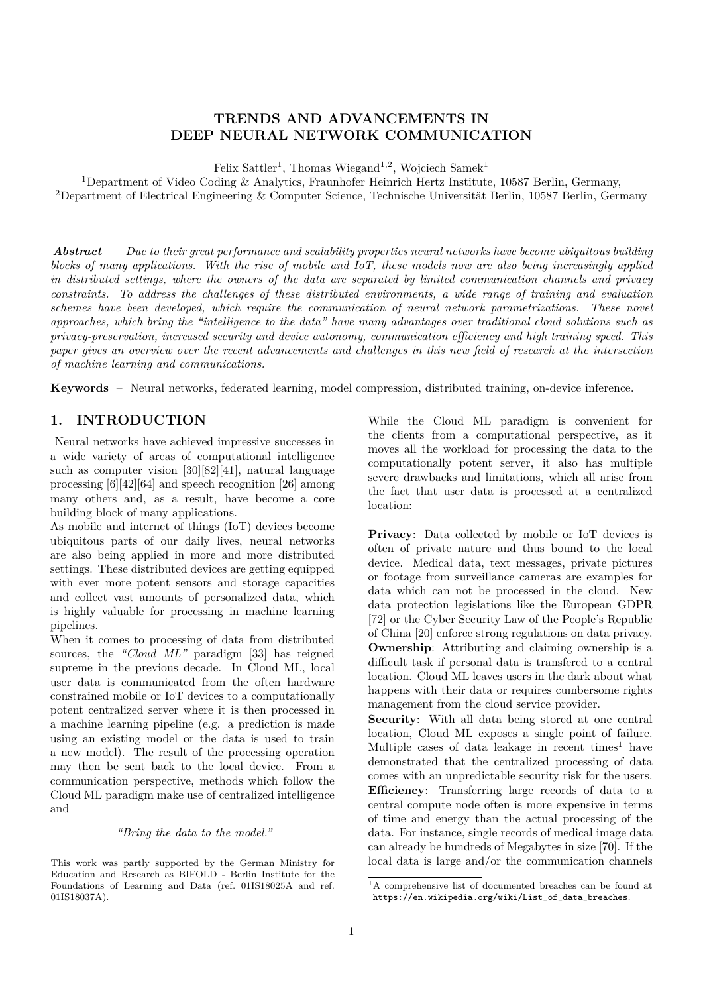### **TRENDS AND ADVANCEMENTS IN DEEP NEURAL NETWORK COMMUNICATION**

Felix Sattler<sup>1</sup>, Thomas Wiegand<sup>1,2</sup>, Wojciech Samek<sup>1</sup>

<sup>1</sup>Department of Video Coding & Analytics, Fraunhofer Heinrich Hertz Institute, 10587 Berlin, Germany, <sup>2</sup>Department of Electrical Engineering & Computer Science, Technische Universität Berlin, 10587 Berlin, Germany

*Abstract* – *Due to their great performance and scalability properties neural networks have become ubiquitous building blocks of many applications. With the rise of mobile and IoT, these models now are also being increasingly applied in distributed settings, where the owners of the data are separated by limited communication channels and privacy constraints. To address the challenges of these distributed environments, a wide range of training and evaluation schemes have been developed, which require the communication of neural network parametrizations. These novel approaches, which bring the "intelligence to the data" have many advantages over traditional cloud solutions such as privacy-preservation, increased security and device autonomy, communication efficiency and high training speed. This paper gives an overview over the recent advancements and challenges in this new field of research at the intersection of machine learning and communications.*

**Keywords** – Neural networks, federated learning, model compression, distributed training, on-device inference.

#### **1. INTRODUCTION**

Neural networks have achieved impressive successes in a wide variety of areas of computational intelligence such as computer vision [30][82][41], natural language processing [6][42][64] and speech recognition [26] among many others and, as a result, have become a core building block of many applications.

As mobile and internet of things (IoT) devices become ubiquitous parts of our daily lives, neural networks are also being applied in more and more distributed settings. These distributed devices are getting equipped with ever more potent sensors and storage capacities and collect vast amounts of personalized data, which is highly valuable for processing in machine learning pipelines.

When it comes to processing of data from distributed sources, the *"Cloud ML"* paradigm [33] has reigned supreme in the previous decade. In Cloud ML, local user data is communicated from the often hardware constrained mobile or IoT devices to a computationally potent centralized server where it is then processed in a machine learning pipeline (e.g. a prediction is made using an existing model or the data is used to train a new model). The result of the processing operation may then be sent back to the local device. From a communication perspective, methods which follow the Cloud ML paradigm make use of centralized intelligence and

*"Bring the data to the model."*

While the Cloud ML paradigm is convenient for the clients from a computational perspective, as it moves all the workload for processing the data to the computationally potent server, it also has multiple severe drawbacks and limitations, which all arise from the fact that user data is processed at a centralized location:

**Privacy**: Data collected by mobile or IoT devices is often of private nature and thus bound to the local device. Medical data, text messages, private pictures or footage from surveillance cameras are examples for data which can not be processed in the cloud. New data protection legislations like the European GDPR [72] or the Cyber Security Law of the People's Republic of China [20] enforce strong regulations on data privacy. **Ownership**: Attributing and claiming ownership is a difficult task if personal data is transfered to a central location. Cloud ML leaves users in the dark about what happens with their data or requires cumbersome rights management from the cloud service provider.

**Security**: With all data being stored at one central location, Cloud ML exposes a single point of failure. Multiple cases of data leakage in recent times<sup>1</sup> have demonstrated that the centralized processing of data comes with an unpredictable security risk for the users. **Efficiency**: Transferring large records of data to a central compute node often is more expensive in terms of time and energy than the actual processing of the data. For instance, single records of medical image data can already be hundreds of Megabytes in size [70]. If the local data is large and/or the communication channels

This work was partly supported by the German Ministry for Education and Research as BIFOLD - Berlin Institute for the Foundations of Learning and Data (ref. 01IS18025A and ref. 01IS18037A).

<sup>1</sup>A comprehensive list of documented breaches can be found at https://en.wikipedia.org/wiki/List\_of\_data\_breaches.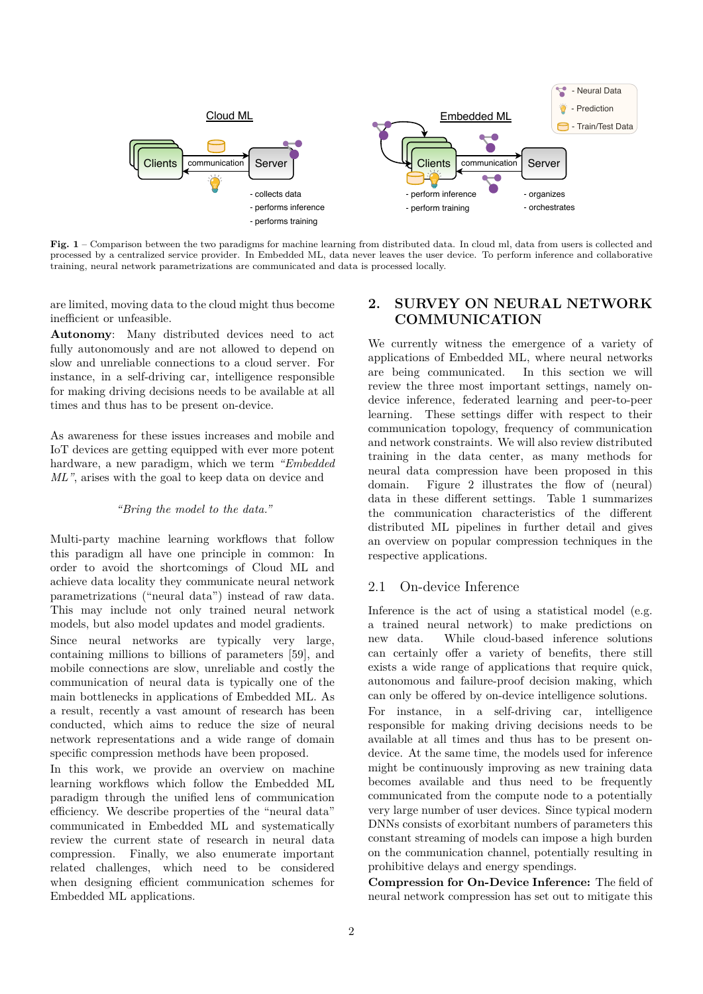

**Fig. 1** – Comparison between the two paradigms for machine learning from distributed data. In cloud ml, data from users is collected and processed by a centralized service provider. In Embedded ML, data never leaves the user device. To perform inference and collaborative training, neural network parametrizations are communicated and data is processed locally.

are limited, moving data to the cloud might thus become inefficient or unfeasible.

**Autonomy**: Many distributed devices need to act fully autonomously and are not allowed to depend on slow and unreliable connections to a cloud server. For instance, in a self-driving car, intelligence responsible for making driving decisions needs to be available at all times and thus has to be present on-device.

As awareness for these issues increases and mobile and IoT devices are getting equipped with ever more potent hardware, a new paradigm, which we term *"Embedded ML"*, arises with the goal to keep data on device and

#### *"Bring the model to the data."*

Multi-party machine learning workflows that follow this paradigm all have one principle in common: In order to avoid the shortcomings of Cloud ML and achieve data locality they communicate neural network parametrizations ("neural data") instead of raw data. This may include not only trained neural network models, but also model updates and model gradients.

Since neural networks are typically very large, containing millions to billions of parameters [59], and mobile connections are slow, unreliable and costly the communication of neural data is typically one of the main bottlenecks in applications of Embedded ML. As a result, recently a vast amount of research has been conducted, which aims to reduce the size of neural network representations and a wide range of domain specific compression methods have been proposed.

In this work, we provide an overview on machine learning workflows which follow the Embedded ML paradigm through the unified lens of communication efficiency. We describe properties of the "neural data" communicated in Embedded ML and systematically review the current state of research in neural data compression. Finally, we also enumerate important related challenges, which need to be considered when designing efficient communication schemes for Embedded ML applications.

# **2. SURVEY ON NEURAL NETWORK COMMUNICATION**

We currently witness the emergence of a variety of applications of Embedded ML, where neural networks are being communicated. In this section we will review the three most important settings, namely ondevice inference, federated learning and peer-to-peer learning. These settings differ with respect to their communication topology, frequency of communication and network constraints. We will also review distributed training in the data center, as many methods for neural data compression have been proposed in this domain. Figure 2 illustrates the flow of (neural) data in these different settings. Table 1 summarizes the communication characteristics of the different distributed ML pipelines in further detail and gives an overview on popular compression techniques in the respective applications.

#### 2.1 On-device Inference

Inference is the act of using a statistical model (e.g. a trained neural network) to make predictions on new data. While cloud-based inference solutions can certainly offer a variety of benefits, there still exists a wide range of applications that require quick, autonomous and failure-proof decision making, which can only be offered by on-device intelligence solutions.

For instance, in a self-driving car, intelligence responsible for making driving decisions needs to be available at all times and thus has to be present ondevice. At the same time, the models used for inference might be continuously improving as new training data becomes available and thus need to be frequently communicated from the compute node to a potentially very large number of user devices. Since typical modern DNNs consists of exorbitant numbers of parameters this constant streaming of models can impose a high burden on the communication channel, potentially resulting in prohibitive delays and energy spendings.

**Compression for On-Device Inference:** The field of neural network compression has set out to mitigate this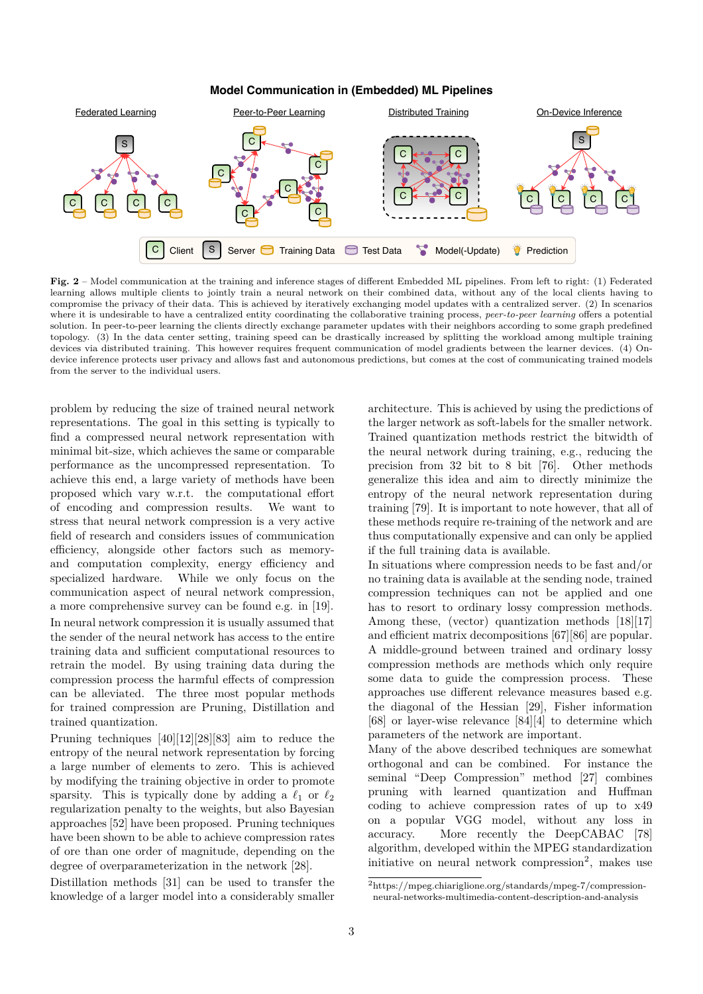**Model Communication in (Embedded) ML Pipelines**



**Fig. 2** – Model communication at the training and inference stages of different Embedded ML pipelines. From left to right: (1) Federated learning allows multiple clients to jointly train a neural network on their combined data, without any of the local clients having to compromise the privacy of their data. This is achieved by iteratively exchanging model updates with a centralized server. (2) In scenarios where it is undesirable to have a centralized entity coordinating the collaborative training process, *peer-to-peer learning* offers a potential solution. In peer-to-peer learning the clients directly exchange parameter updates with their neighbors according to some graph predefined topology. (3) In the data center setting, training speed can be drastically increased by splitting the workload among multiple training devices via distributed training. This however requires frequent communication of model gradients between the learner devices. (4) Ondevice inference protects user privacy and allows fast and autonomous predictions, but comes at the cost of communicating trained models from the server to the individual users.

problem by reducing the size of trained neural network representations. The goal in this setting is typically to find a compressed neural network representation with minimal bit-size, which achieves the same or comparable performance as the uncompressed representation. To achieve this end, a large variety of methods have been proposed which vary w.r.t. the computational effort of encoding and compression results. We want to stress that neural network compression is a very active field of research and considers issues of communication efficiency, alongside other factors such as memoryand computation complexity, energy efficiency and specialized hardware. While we only focus on the communication aspect of neural network compression, a more comprehensive survey can be found e.g. in [19]. In neural network compression it is usually assumed that the sender of the neural network has access to the entire training data and sufficient computational resources to retrain the model. By using training data during the compression process the harmful effects of compression can be alleviated. The three most popular methods for trained compression are Pruning, Distillation and trained quantization.

Pruning techniques [40][12][28][83] aim to reduce the entropy of the neural network representation by forcing a large number of elements to zero. This is achieved by modifying the training objective in order to promote sparsity. This is typically done by adding a  $\ell_1$  or  $\ell_2$ regularization penalty to the weights, but also Bayesian approaches [52] have been proposed. Pruning techniques have been shown to be able to achieve compression rates of ore than one order of magnitude, depending on the degree of overparameterization in the network [28].

Distillation methods [31] can be used to transfer the knowledge of a larger model into a considerably smaller architecture. This is achieved by using the predictions of the larger network as soft-labels for the smaller network. Trained quantization methods restrict the bitwidth of the neural network during training, e.g., reducing the precision from 32 bit to 8 bit [76]. Other methods generalize this idea and aim to directly minimize the entropy of the neural network representation during training [79]. It is important to note however, that all of these methods require re-training of the network and are thus computationally expensive and can only be applied if the full training data is available.

In situations where compression needs to be fast and/or no training data is available at the sending node, trained compression techniques can not be applied and one has to resort to ordinary lossy compression methods. Among these, (vector) quantization methods [18][17] and efficient matrix decompositions [67][86] are popular. A middle-ground between trained and ordinary lossy compression methods are methods which only require some data to guide the compression process. These approaches use different relevance measures based e.g. the diagonal of the Hessian [29], Fisher information [68] or layer-wise relevance [84][4] to determine which parameters of the network are important.

Many of the above described techniques are somewhat orthogonal and can be combined. For instance the seminal "Deep Compression" method [27] combines pruning with learned quantization and Huffman coding to achieve compression rates of up to x49 on a popular VGG model, without any loss in accuracy. More recently the DeepCABAC [78] algorithm, developed within the MPEG standardization initiative on neural network compression<sup>2</sup>, makes use

<sup>2</sup>https://mpeg.chiariglione.org/standards/mpeg-7/compressionneural-networks-multimedia-content-description-and-analysis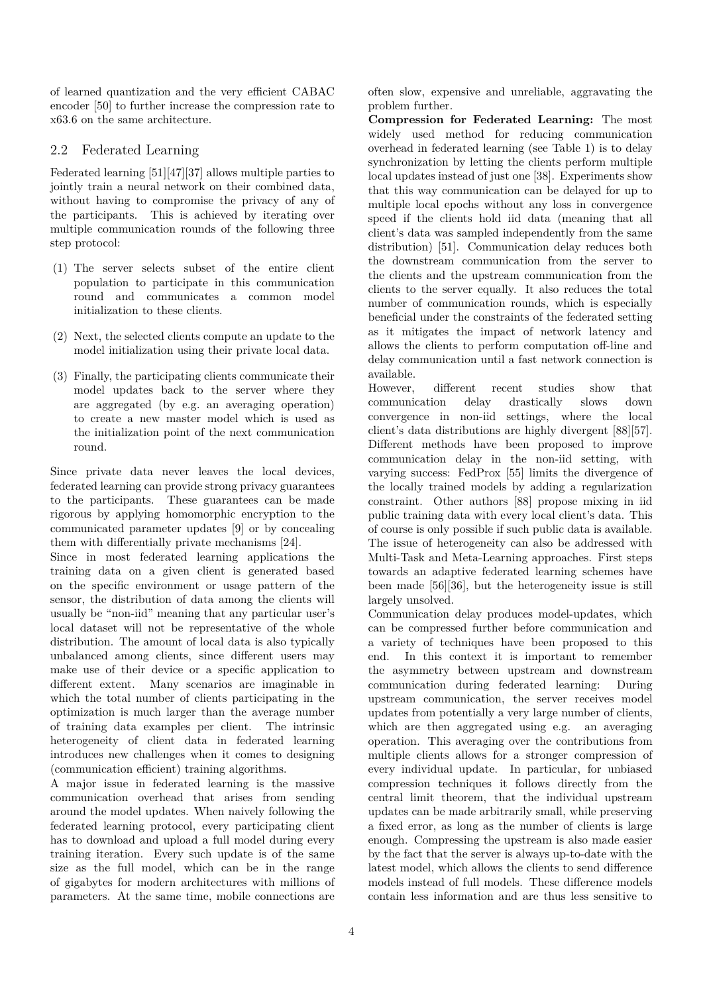of learned quantization and the very efficient CABAC encoder [50] to further increase the compression rate to x63.6 on the same architecture.

### 2.2 Federated Learning

Federated learning [51][47][37] allows multiple parties to jointly train a neural network on their combined data, without having to compromise the privacy of any of the participants. This is achieved by iterating over multiple communication rounds of the following three step protocol:

- (1) The server selects subset of the entire client population to participate in this communication round and communicates a common model initialization to these clients.
- (2) Next, the selected clients compute an update to the model initialization using their private local data.
- (3) Finally, the participating clients communicate their model updates back to the server where they are aggregated (by e.g. an averaging operation) to create a new master model which is used as the initialization point of the next communication round.

Since private data never leaves the local devices, federated learning can provide strong privacy guarantees to the participants. These guarantees can be made rigorous by applying homomorphic encryption to the communicated parameter updates [9] or by concealing them with differentially private mechanisms [24].

Since in most federated learning applications the training data on a given client is generated based on the specific environment or usage pattern of the sensor, the distribution of data among the clients will usually be "non-iid" meaning that any particular user's local dataset will not be representative of the whole distribution. The amount of local data is also typically unbalanced among clients, since different users may make use of their device or a specific application to different extent. Many scenarios are imaginable in which the total number of clients participating in the optimization is much larger than the average number of training data examples per client. The intrinsic heterogeneity of client data in federated learning introduces new challenges when it comes to designing (communication efficient) training algorithms.

A major issue in federated learning is the massive communication overhead that arises from sending around the model updates. When naively following the federated learning protocol, every participating client has to download and upload a full model during every training iteration. Every such update is of the same size as the full model, which can be in the range of gigabytes for modern architectures with millions of parameters. At the same time, mobile connections are

often slow, expensive and unreliable, aggravating the problem further.

**Compression for Federated Learning:** The most widely used method for reducing communication overhead in federated learning (see Table 1) is to delay synchronization by letting the clients perform multiple local updates instead of just one [38]. Experiments show that this way communication can be delayed for up to multiple local epochs without any loss in convergence speed if the clients hold iid data (meaning that all client's data was sampled independently from the same distribution) [51]. Communication delay reduces both the downstream communication from the server to the clients and the upstream communication from the clients to the server equally. It also reduces the total number of communication rounds, which is especially beneficial under the constraints of the federated setting as it mitigates the impact of network latency and allows the clients to perform computation off-line and delay communication until a fast network connection is available.

However, different recent studies show that communication delay drastically slows down convergence in non-iid settings, where the local client's data distributions are highly divergent [88][57]. Different methods have been proposed to improve communication delay in the non-iid setting, with varying success: FedProx [55] limits the divergence of the locally trained models by adding a regularization constraint. Other authors [88] propose mixing in iid public training data with every local client's data. This of course is only possible if such public data is available. The issue of heterogeneity can also be addressed with Multi-Task and Meta-Learning approaches. First steps towards an adaptive federated learning schemes have been made [56][36], but the heterogeneity issue is still largely unsolved.

Communication delay produces model-updates, which can be compressed further before communication and a variety of techniques have been proposed to this end. In this context it is important to remember the asymmetry between upstream and downstream communication during federated learning: During upstream communication, the server receives model updates from potentially a very large number of clients, which are then aggregated using e.g. an averaging operation. This averaging over the contributions from multiple clients allows for a stronger compression of every individual update. In particular, for unbiased compression techniques it follows directly from the central limit theorem, that the individual upstream updates can be made arbitrarily small, while preserving a fixed error, as long as the number of clients is large enough. Compressing the upstream is also made easier by the fact that the server is always up-to-date with the latest model, which allows the clients to send difference models instead of full models. These difference models contain less information and are thus less sensitive to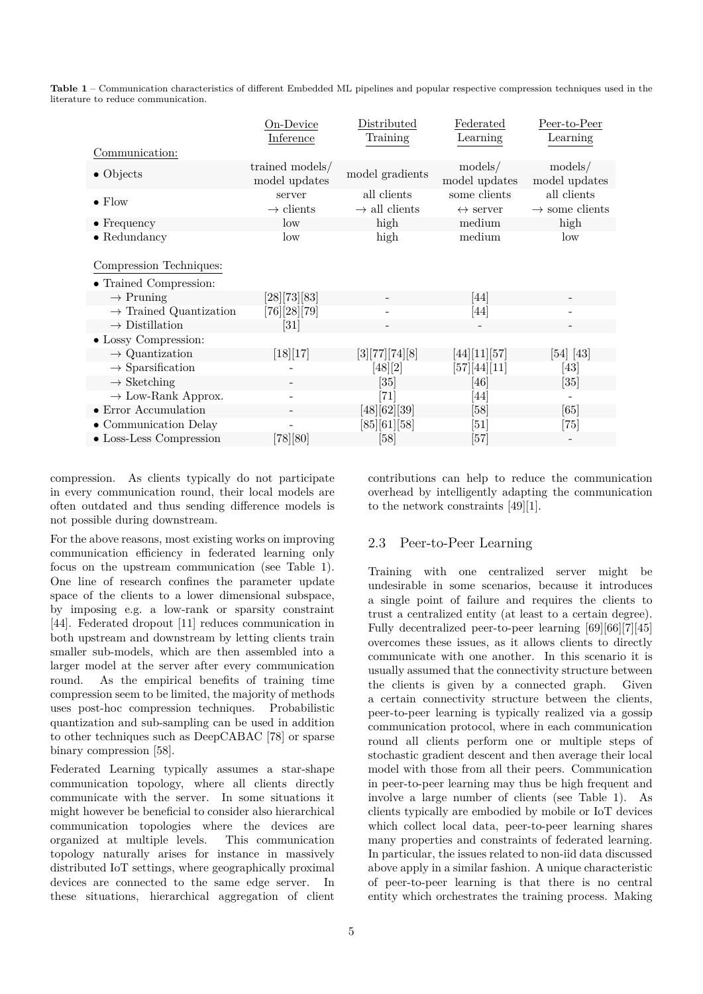**Table 1** – Communication characteristics of different Embedded ML pipelines and popular respective compression techniques used in the literature to reduce communication.

|                                                           | On-Device<br>Inference           | Distributed<br>Training                  | Federated<br>Learning                    | Peer-to-Peer<br>Learning                  |
|-----------------------------------------------------------|----------------------------------|------------------------------------------|------------------------------------------|-------------------------------------------|
| Communication:                                            |                                  |                                          |                                          |                                           |
| $\bullet$ Objects                                         | trained models/<br>model updates | model gradients                          | models/<br>model updates                 | models/<br>model updates                  |
| $\bullet$ Flow                                            | server<br>$\rightarrow$ clients  | all clients<br>$\rightarrow$ all clients | some clients<br>$\leftrightarrow$ server | all clients<br>$\rightarrow$ some clients |
| $\bullet$ Frequency                                       | low                              | high                                     | medium                                   | high                                      |
| $\bullet$ Redundancy                                      | low                              | high                                     | medium                                   | $_{\text{low}}$                           |
| Compression Techniques:<br>$\bullet$ Trained Compression: |                                  |                                          |                                          |                                           |
| $\rightarrow$ Pruning                                     | [28][73][83]                     |                                          | [44]                                     |                                           |
| $\rightarrow$ Trained Quantization                        | $[76][28][79]$                   |                                          | $[44]$                                   |                                           |
| $\rightarrow$ Distillation                                | $\left[ 31\right]$               |                                          |                                          |                                           |
| • Lossy Compression:                                      |                                  |                                          |                                          |                                           |
| $\rightarrow$ Quantization                                | [18][17]                         | [3][77][74][8]                           | [44][11][57]                             | $\left[54\right]$ $\left[43\right]$       |
| $\rightarrow$ Sparsification                              |                                  | [48][2]                                  | $[57][44][11]$                           | [43]                                      |
| $\rightarrow$ Sketching                                   |                                  | [35]                                     | [46]                                     | $\left[ 35\right]$                        |
| $\rightarrow$ Low-Rank Approx.                            |                                  | $\left\lceil 71\right\rceil$             | [44]                                     |                                           |
| $\bullet$ Error Accumulation                              |                                  | [48][62][39]                             | $\left[58\right]$                        | [65]                                      |
| $\bullet$ Communication Delay                             |                                  | [85][61][58]                             | $\left\lceil 51 \right\rceil$            | [75]                                      |
| $\bullet$ Loss-Less Compression                           | [78][80]                         | [58]                                     | [57]                                     |                                           |

compression. As clients typically do not participate in every communication round, their local models are often outdated and thus sending difference models is not possible during downstream.

For the above reasons, most existing works on improving communication efficiency in federated learning only focus on the upstream communication (see Table 1). One line of research confines the parameter update space of the clients to a lower dimensional subspace, by imposing e.g. a low-rank or sparsity constraint [44]. Federated dropout [11] reduces communication in both upstream and downstream by letting clients train smaller sub-models, which are then assembled into a larger model at the server after every communication round. As the empirical benefits of training time compression seem to be limited, the majority of methods uses post-hoc compression techniques. Probabilistic quantization and sub-sampling can be used in addition to other techniques such as DeepCABAC [78] or sparse binary compression [58].

Federated Learning typically assumes a star-shape communication topology, where all clients directly communicate with the server. In some situations it might however be beneficial to consider also hierarchical communication topologies where the devices are organized at multiple levels. This communication topology naturally arises for instance in massively distributed IoT settings, where geographically proximal devices are connected to the same edge server. In these situations, hierarchical aggregation of client

contributions can help to reduce the communication overhead by intelligently adapting the communication to the network constraints [49][1].

#### 2.3 Peer-to-Peer Learning

Training with one centralized server might be undesirable in some scenarios, because it introduces a single point of failure and requires the clients to trust a centralized entity (at least to a certain degree). Fully decentralized peer-to-peer learning [69][66][7][45] overcomes these issues, as it allows clients to directly communicate with one another. In this scenario it is usually assumed that the connectivity structure between the clients is given by a connected graph. Given a certain connectivity structure between the clients, peer-to-peer learning is typically realized via a gossip communication protocol, where in each communication round all clients perform one or multiple steps of stochastic gradient descent and then average their local model with those from all their peers. Communication in peer-to-peer learning may thus be high frequent and involve a large number of clients (see Table 1). As clients typically are embodied by mobile or IoT devices which collect local data, peer-to-peer learning shares many properties and constraints of federated learning. In particular, the issues related to non-iid data discussed above apply in a similar fashion. A unique characteristic of peer-to-peer learning is that there is no central entity which orchestrates the training process. Making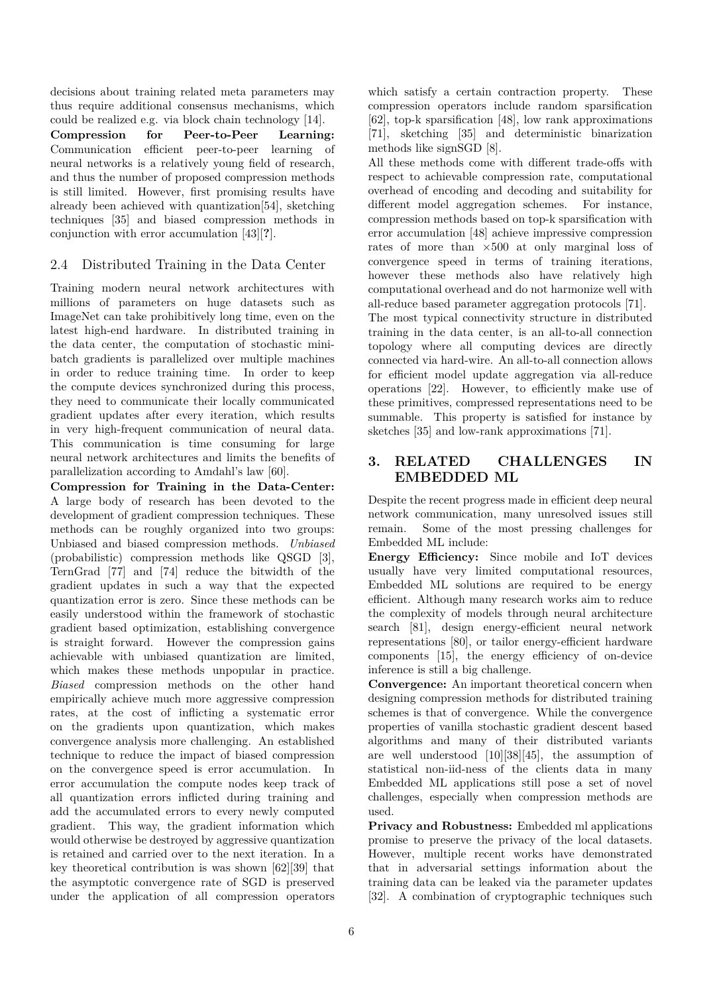decisions about training related meta parameters may thus require additional consensus mechanisms, which could be realized e.g. via block chain technology [14].

**Compression for Peer-to-Peer Learning:** Communication efficient peer-to-peer learning of neural networks is a relatively young field of research, and thus the number of proposed compression methods is still limited. However, first promising results have already been achieved with quantization[54], sketching techniques [35] and biased compression methods in conjunction with error accumulation [43][**?**].

### 2.4 Distributed Training in the Data Center

Training modern neural network architectures with millions of parameters on huge datasets such as ImageNet can take prohibitively long time, even on the latest high-end hardware. In distributed training in the data center, the computation of stochastic minibatch gradients is parallelized over multiple machines in order to reduce training time. In order to keep the compute devices synchronized during this process, they need to communicate their locally communicated gradient updates after every iteration, which results in very high-frequent communication of neural data. This communication is time consuming for large neural network architectures and limits the benefits of parallelization according to Amdahl's law [60].

**Compression for Training in the Data-Center:** A large body of research has been devoted to the development of gradient compression techniques. These methods can be roughly organized into two groups: Unbiased and biased compression methods. *Unbiased* (probabilistic) compression methods like QSGD [3], TernGrad [77] and [74] reduce the bitwidth of the gradient updates in such a way that the expected quantization error is zero. Since these methods can be easily understood within the framework of stochastic gradient based optimization, establishing convergence is straight forward. However the compression gains achievable with unbiased quantization are limited, which makes these methods unpopular in practice. *Biased* compression methods on the other hand empirically achieve much more aggressive compression rates, at the cost of inflicting a systematic error on the gradients upon quantization, which makes convergence analysis more challenging. An established technique to reduce the impact of biased compression on the convergence speed is error accumulation. In error accumulation the compute nodes keep track of all quantization errors inflicted during training and add the accumulated errors to every newly computed gradient. This way, the gradient information which would otherwise be destroyed by aggressive quantization is retained and carried over to the next iteration. In a key theoretical contribution is was shown [62][39] that the asymptotic convergence rate of SGD is preserved under the application of all compression operators

which satisfy a certain contraction property. These compression operators include random sparsification [62], top-k sparsification [48], low rank approximations [71], sketching [35] and deterministic binarization methods like signSGD [8].

All these methods come with different trade-offs with respect to achievable compression rate, computational overhead of encoding and decoding and suitability for different model aggregation schemes. For instance, compression methods based on top-k sparsification with error accumulation [48] achieve impressive compression rates of more than *×*500 at only marginal loss of convergence speed in terms of training iterations, however these methods also have relatively high computational overhead and do not harmonize well with all-reduce based parameter aggregation protocols [71]. The most typical connectivity structure in distributed training in the data center, is an all-to-all connection topology where all computing devices are directly connected via hard-wire. An all-to-all connection allows for efficient model update aggregation via all-reduce operations [22]. However, to efficiently make use of these primitives, compressed representations need to be summable. This property is satisfied for instance by sketches [35] and low-rank approximations [71].

## **3. RELATED CHALLENGES IN EMBEDDED ML**

Despite the recent progress made in efficient deep neural network communication, many unresolved issues still remain. Some of the most pressing challenges for Embedded ML include:

**Energy Efficiency:** Since mobile and IoT devices usually have very limited computational resources, Embedded ML solutions are required to be energy efficient. Although many research works aim to reduce the complexity of models through neural architecture search [81], design energy-efficient neural network representations [80], or tailor energy-efficient hardware components [15], the energy efficiency of on-device inference is still a big challenge.

**Convergence:** An important theoretical concern when designing compression methods for distributed training schemes is that of convergence. While the convergence properties of vanilla stochastic gradient descent based algorithms and many of their distributed variants are well understood [10][38][45], the assumption of statistical non-iid-ness of the clients data in many Embedded ML applications still pose a set of novel challenges, especially when compression methods are used.

**Privacy and Robustness:** Embedded ml applications promise to preserve the privacy of the local datasets. However, multiple recent works have demonstrated that in adversarial settings information about the training data can be leaked via the parameter updates [32]. A combination of cryptographic techniques such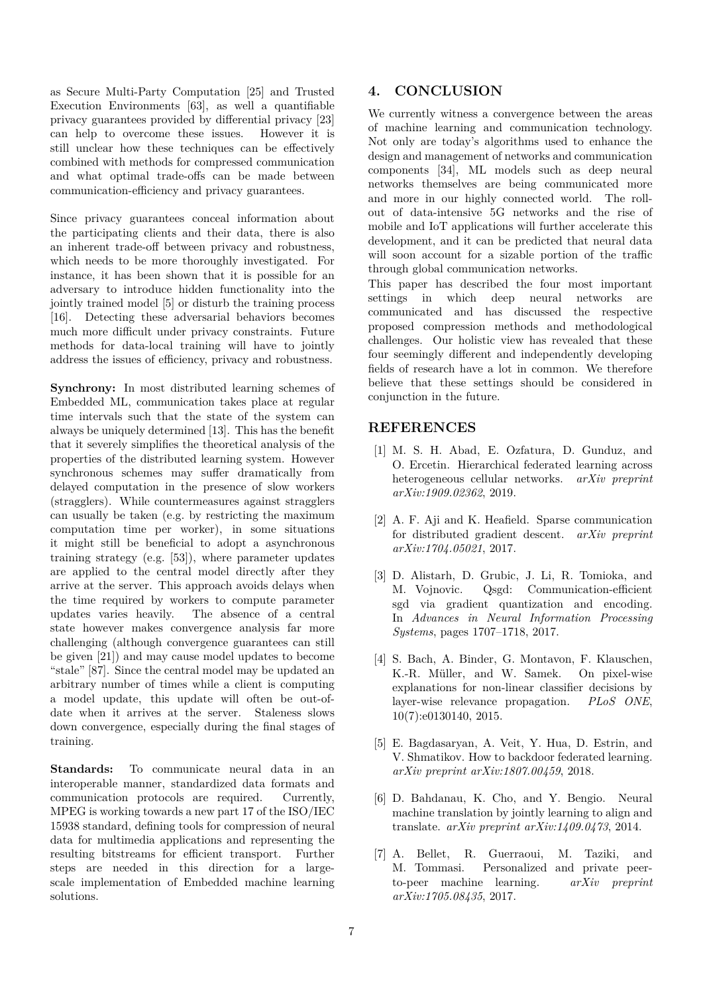as Secure Multi-Party Computation [25] and Trusted Execution Environments [63], as well a quantifiable privacy guarantees provided by differential privacy [23] can help to overcome these issues. However it is still unclear how these techniques can be effectively combined with methods for compressed communication and what optimal trade-offs can be made between communication-efficiency and privacy guarantees.

Since privacy guarantees conceal information about the participating clients and their data, there is also an inherent trade-off between privacy and robustness, which needs to be more thoroughly investigated. For instance, it has been shown that it is possible for an adversary to introduce hidden functionality into the jointly trained model [5] or disturb the training process [16]. Detecting these adversarial behaviors becomes much more difficult under privacy constraints. Future methods for data-local training will have to jointly address the issues of efficiency, privacy and robustness.

**Synchrony:** In most distributed learning schemes of Embedded ML, communication takes place at regular time intervals such that the state of the system can always be uniquely determined [13]. This has the benefit that it severely simplifies the theoretical analysis of the properties of the distributed learning system. However synchronous schemes may suffer dramatically from delayed computation in the presence of slow workers (stragglers). While countermeasures against stragglers can usually be taken (e.g. by restricting the maximum computation time per worker), in some situations it might still be beneficial to adopt a asynchronous training strategy (e.g. [53]), where parameter updates are applied to the central model directly after they arrive at the server. This approach avoids delays when the time required by workers to compute parameter updates varies heavily. The absence of a central state however makes convergence analysis far more challenging (although convergence guarantees can still be given [21]) and may cause model updates to become "stale" [87]. Since the central model may be updated an arbitrary number of times while a client is computing a model update, this update will often be out-ofdate when it arrives at the server. Staleness slows down convergence, especially during the final stages of training.

**Standards:** To communicate neural data in an interoperable manner, standardized data formats and communication protocols are required. Currently, MPEG is working towards a new part 17 of the ISO/IEC 15938 standard, defining tools for compression of neural data for multimedia applications and representing the resulting bitstreams for efficient transport. Further steps are needed in this direction for a largescale implementation of Embedded machine learning solutions.

# **4. CONCLUSION**

We currently witness a convergence between the areas of machine learning and communication technology. Not only are today's algorithms used to enhance the design and management of networks and communication components [34], ML models such as deep neural networks themselves are being communicated more and more in our highly connected world. The rollout of data-intensive 5G networks and the rise of mobile and IoT applications will further accelerate this development, and it can be predicted that neural data will soon account for a sizable portion of the traffic through global communication networks.

This paper has described the four most important settings in which deep neural networks are communicated and has discussed the respective proposed compression methods and methodological challenges. Our holistic view has revealed that these four seemingly different and independently developing fields of research have a lot in common. We therefore believe that these settings should be considered in conjunction in the future.

## **REFERENCES**

- [1] M. S. H. Abad, E. Ozfatura, D. Gunduz, and O. Ercetin. Hierarchical federated learning across heterogeneous cellular networks. *arXiv preprint arXiv:1909.02362*, 2019.
- [2] A. F. Aji and K. Heafield. Sparse communication for distributed gradient descent. *arXiv preprint arXiv:1704.05021*, 2017.
- [3] D. Alistarh, D. Grubic, J. Li, R. Tomioka, and M. Vojnovic. Qsgd: Communication-efficient sgd via gradient quantization and encoding. In *Advances in Neural Information Processing Systems*, pages 1707–1718, 2017.
- [4] S. Bach, A. Binder, G. Montavon, F. Klauschen, K.-R. Müller, and W. Samek. On pixel-wise explanations for non-linear classifier decisions by layer-wise relevance propagation. *PLoS ONE*, 10(7):e0130140, 2015.
- [5] E. Bagdasaryan, A. Veit, Y. Hua, D. Estrin, and V. Shmatikov. How to backdoor federated learning. *arXiv preprint arXiv:1807.00459*, 2018.
- [6] D. Bahdanau, K. Cho, and Y. Bengio. Neural machine translation by jointly learning to align and translate. *arXiv preprint arXiv:1409.0473*, 2014.
- [7] A. Bellet, R. Guerraoui, M. Taziki, and M. Tommasi. Personalized and private peerto-peer machine learning. *arXiv preprint arXiv:1705.08435*, 2017.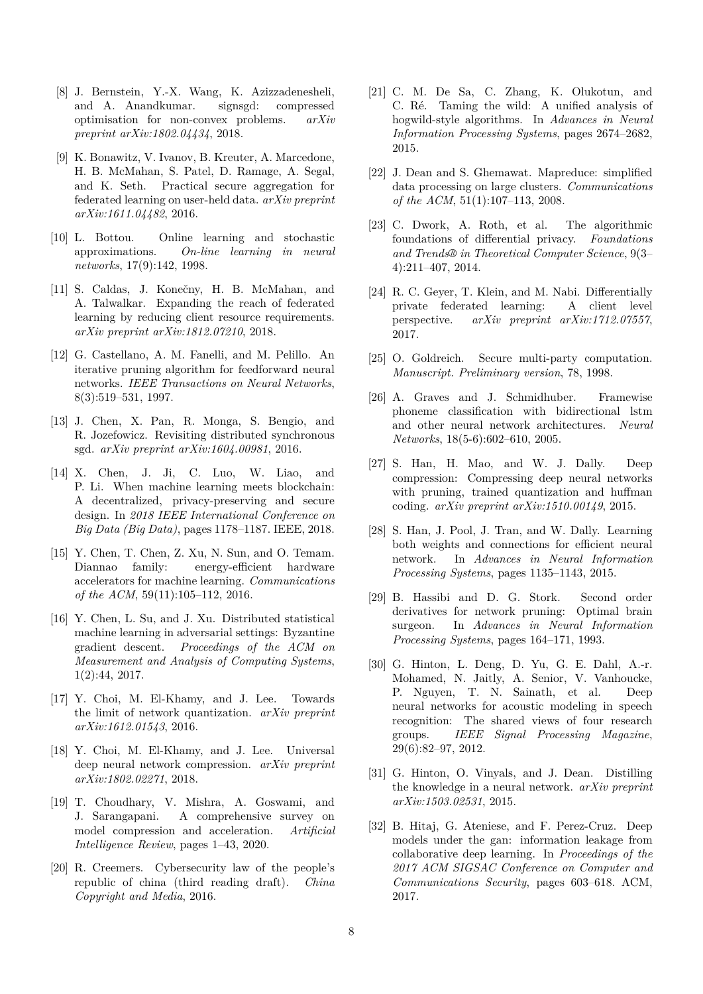- [8] J. Bernstein, Y.-X. Wang, K. Azizzadenesheli, and A. Anandkumar. signsgd: compressed optimisation for non-convex problems. *arXiv preprint arXiv:1802.04434*, 2018.
- [9] K. Bonawitz, V. Ivanov, B. Kreuter, A. Marcedone, H. B. McMahan, S. Patel, D. Ramage, A. Segal, and K. Seth. Practical secure aggregation for federated learning on user-held data. *arXiv preprint arXiv:1611.04482*, 2016.
- [10] L. Bottou. Online learning and stochastic approximations. *On-line learning in neural networks*, 17(9):142, 1998.
- [11] S. Caldas, J. Konečny, H. B. McMahan, and A. Talwalkar. Expanding the reach of federated learning by reducing client resource requirements. *arXiv preprint arXiv:1812.07210*, 2018.
- [12] G. Castellano, A. M. Fanelli, and M. Pelillo. An iterative pruning algorithm for feedforward neural networks. *IEEE Transactions on Neural Networks*, 8(3):519–531, 1997.
- [13] J. Chen, X. Pan, R. Monga, S. Bengio, and R. Jozefowicz. Revisiting distributed synchronous sgd. *arXiv preprint arXiv:1604.00981*, 2016.
- [14] X. Chen, J. Ji, C. Luo, W. Liao, and P. Li. When machine learning meets blockchain: A decentralized, privacy-preserving and secure design. In *2018 IEEE International Conference on Big Data (Big Data)*, pages 1178–1187. IEEE, 2018.
- [15] Y. Chen, T. Chen, Z. Xu, N. Sun, and O. Temam. Diannao family: energy-efficient hardware accelerators for machine learning. *Communications of the ACM*, 59(11):105–112, 2016.
- [16] Y. Chen, L. Su, and J. Xu. Distributed statistical machine learning in adversarial settings: Byzantine gradient descent. *Proceedings of the ACM on Measurement and Analysis of Computing Systems*, 1(2):44, 2017.
- [17] Y. Choi, M. El-Khamy, and J. Lee. Towards the limit of network quantization. *arXiv preprint arXiv:1612.01543*, 2016.
- [18] Y. Choi, M. El-Khamy, and J. Lee. Universal deep neural network compression. *arXiv preprint arXiv:1802.02271*, 2018.
- [19] T. Choudhary, V. Mishra, A. Goswami, and J. Sarangapani. A comprehensive survey on model compression and acceleration. *Artificial Intelligence Review*, pages 1–43, 2020.
- [20] R. Creemers. Cybersecurity law of the people's republic of china (third reading draft). *China Copyright and Media*, 2016.
- [21] C. M. De Sa, C. Zhang, K. Olukotun, and C. Ré. Taming the wild: A unified analysis of hogwild-style algorithms. In *Advances in Neural Information Processing Systems*, pages 2674–2682, 2015.
- [22] J. Dean and S. Ghemawat. Mapreduce: simplified data processing on large clusters. *Communications of the ACM*, 51(1):107–113, 2008.
- [23] C. Dwork, A. Roth, et al. The algorithmic foundations of differential privacy. *Foundations and Trends® in Theoretical Computer Science*, 9(3– 4):211–407, 2014.
- [24] R. C. Geyer, T. Klein, and M. Nabi. Differentially private federated learning: A client level perspective. *arXiv preprint arXiv:1712.07557*, 2017.
- [25] O. Goldreich. Secure multi-party computation. *Manuscript. Preliminary version*, 78, 1998.
- [26] A. Graves and J. Schmidhuber. Framewise phoneme classification with bidirectional lstm and other neural network architectures. *Neural Networks*, 18(5-6):602–610, 2005.
- [27] S. Han, H. Mao, and W. J. Dally. Deep compression: Compressing deep neural networks with pruning, trained quantization and huffman coding. *arXiv preprint arXiv:1510.00149*, 2015.
- [28] S. Han, J. Pool, J. Tran, and W. Dally. Learning both weights and connections for efficient neural network. In *Advances in Neural Information Processing Systems*, pages 1135–1143, 2015.
- [29] B. Hassibi and D. G. Stork. Second order derivatives for network pruning: Optimal brain surgeon. In *Advances in Neural Information Processing Systems*, pages 164–171, 1993.
- [30] G. Hinton, L. Deng, D. Yu, G. E. Dahl, A.-r. Mohamed, N. Jaitly, A. Senior, V. Vanhoucke, P. Nguyen, T. N. Sainath, et al. Deep neural networks for acoustic modeling in speech recognition: The shared views of four research groups. *IEEE Signal Processing Magazine*, 29(6):82–97, 2012.
- [31] G. Hinton, O. Vinyals, and J. Dean. Distilling the knowledge in a neural network. *arXiv preprint arXiv:1503.02531*, 2015.
- [32] B. Hitaj, G. Ateniese, and F. Perez-Cruz. Deep models under the gan: information leakage from collaborative deep learning. In *Proceedings of the 2017 ACM SIGSAC Conference on Computer and Communications Security*, pages 603–618. ACM, 2017.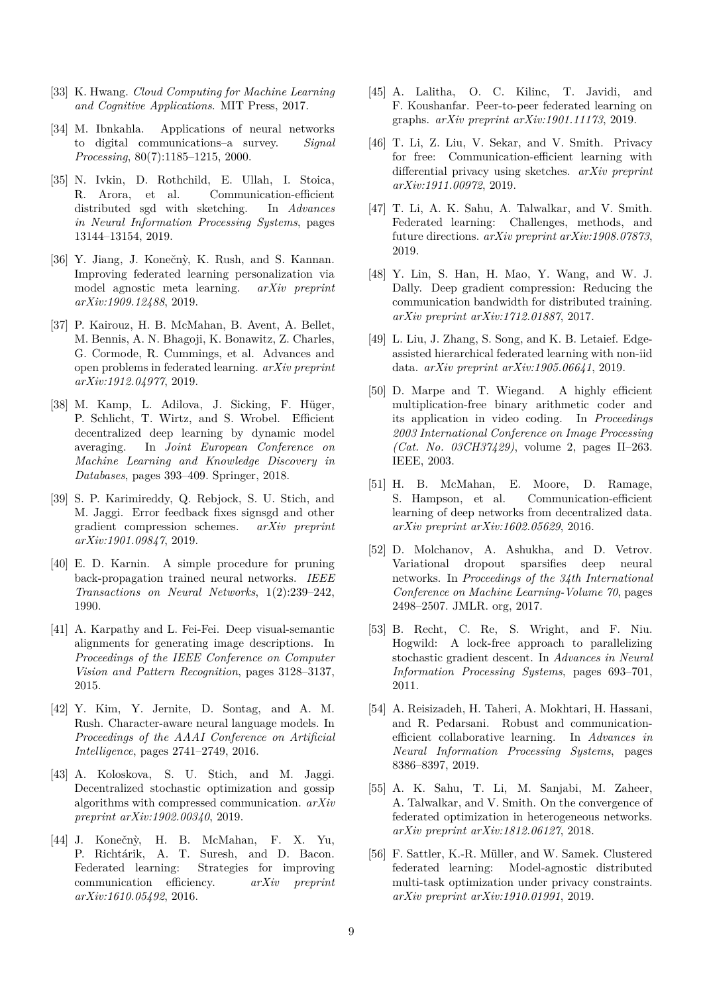- [33] K. Hwang. *Cloud Computing for Machine Learning and Cognitive Applications*. MIT Press, 2017.
- [34] M. Ibnkahla. Applications of neural networks to digital communications–a survey. *Signal Processing*, 80(7):1185–1215, 2000.
- [35] N. Ivkin, D. Rothchild, E. Ullah, I. Stoica, R. Arora, et al. Communication-efficient distributed sgd with sketching. In *Advances in Neural Information Processing Systems*, pages 13144–13154, 2019.
- [36] Y. Jiang, J. Konečnỳ, K. Rush, and S. Kannan. Improving federated learning personalization via model agnostic meta learning. *arXiv preprint arXiv:1909.12488*, 2019.
- [37] P. Kairouz, H. B. McMahan, B. Avent, A. Bellet, M. Bennis, A. N. Bhagoji, K. Bonawitz, Z. Charles, G. Cormode, R. Cummings, et al. Advances and open problems in federated learning. *arXiv preprint arXiv:1912.04977*, 2019.
- [38] M. Kamp, L. Adilova, J. Sicking, F. Hüger, P. Schlicht, T. Wirtz, and S. Wrobel. Efficient decentralized deep learning by dynamic model averaging. In *Joint European Conference on Machine Learning and Knowledge Discovery in Databases*, pages 393–409. Springer, 2018.
- [39] S. P. Karimireddy, Q. Rebjock, S. U. Stich, and M. Jaggi. Error feedback fixes signsgd and other gradient compression schemes. *arXiv preprint arXiv:1901.09847*, 2019.
- [40] E. D. Karnin. A simple procedure for pruning back-propagation trained neural networks. *IEEE Transactions on Neural Networks*, 1(2):239–242, 1990.
- [41] A. Karpathy and L. Fei-Fei. Deep visual-semantic alignments for generating image descriptions. In *Proceedings of the IEEE Conference on Computer Vision and Pattern Recognition*, pages 3128–3137, 2015.
- [42] Y. Kim, Y. Jernite, D. Sontag, and A. M. Rush. Character-aware neural language models. In *Proceedings of the AAAI Conference on Artificial Intelligence*, pages 2741–2749, 2016.
- [43] A. Koloskova, S. U. Stich, and M. Jaggi. Decentralized stochastic optimization and gossip algorithms with compressed communication. *arXiv preprint arXiv:1902.00340*, 2019.
- [44] J. Konečnỳ, H. B. McMahan, F. X. Yu, P. Richtárik, A. T. Suresh, and D. Bacon. Federated learning: Strategies for improving communication efficiency. *arXiv preprint arXiv:1610.05492*, 2016.
- [45] A. Lalitha, O. C. Kilinc, T. Javidi, and F. Koushanfar. Peer-to-peer federated learning on graphs. *arXiv preprint arXiv:1901.11173*, 2019.
- [46] T. Li, Z. Liu, V. Sekar, and V. Smith. Privacy for free: Communication-efficient learning with differential privacy using sketches. *arXiv preprint arXiv:1911.00972*, 2019.
- [47] T. Li, A. K. Sahu, A. Talwalkar, and V. Smith. Federated learning: Challenges, methods, and future directions. *arXiv preprint arXiv:1908.07873*, 2019.
- [48] Y. Lin, S. Han, H. Mao, Y. Wang, and W. J. Dally. Deep gradient compression: Reducing the communication bandwidth for distributed training. *arXiv preprint arXiv:1712.01887*, 2017.
- [49] L. Liu, J. Zhang, S. Song, and K. B. Letaief. Edgeassisted hierarchical federated learning with non-iid data. *arXiv preprint arXiv:1905.06641*, 2019.
- [50] D. Marpe and T. Wiegand. A highly efficient multiplication-free binary arithmetic coder and its application in video coding. In *Proceedings 2003 International Conference on Image Processing (Cat. No. 03CH37429)*, volume 2, pages II–263. IEEE, 2003.
- [51] H. B. McMahan, E. Moore, D. Ramage, S. Hampson, et al. Communication-efficient learning of deep networks from decentralized data. *arXiv preprint arXiv:1602.05629*, 2016.
- [52] D. Molchanov, A. Ashukha, and D. Vetrov. Variational dropout sparsifies deep neural networks. In *Proceedings of the 34th International Conference on Machine Learning-Volume 70*, pages 2498–2507. JMLR. org, 2017.
- [53] B. Recht, C. Re, S. Wright, and F. Niu. Hogwild: A lock-free approach to parallelizing stochastic gradient descent. In *Advances in Neural Information Processing Systems*, pages 693–701, 2011.
- [54] A. Reisizadeh, H. Taheri, A. Mokhtari, H. Hassani, and R. Pedarsani. Robust and communicationefficient collaborative learning. In *Advances in Neural Information Processing Systems*, pages 8386–8397, 2019.
- [55] A. K. Sahu, T. Li, M. Sanjabi, M. Zaheer, A. Talwalkar, and V. Smith. On the convergence of federated optimization in heterogeneous networks. *arXiv preprint arXiv:1812.06127*, 2018.
- [56] F. Sattler, K.-R. Müller, and W. Samek. Clustered federated learning: Model-agnostic distributed multi-task optimization under privacy constraints. *arXiv preprint arXiv:1910.01991*, 2019.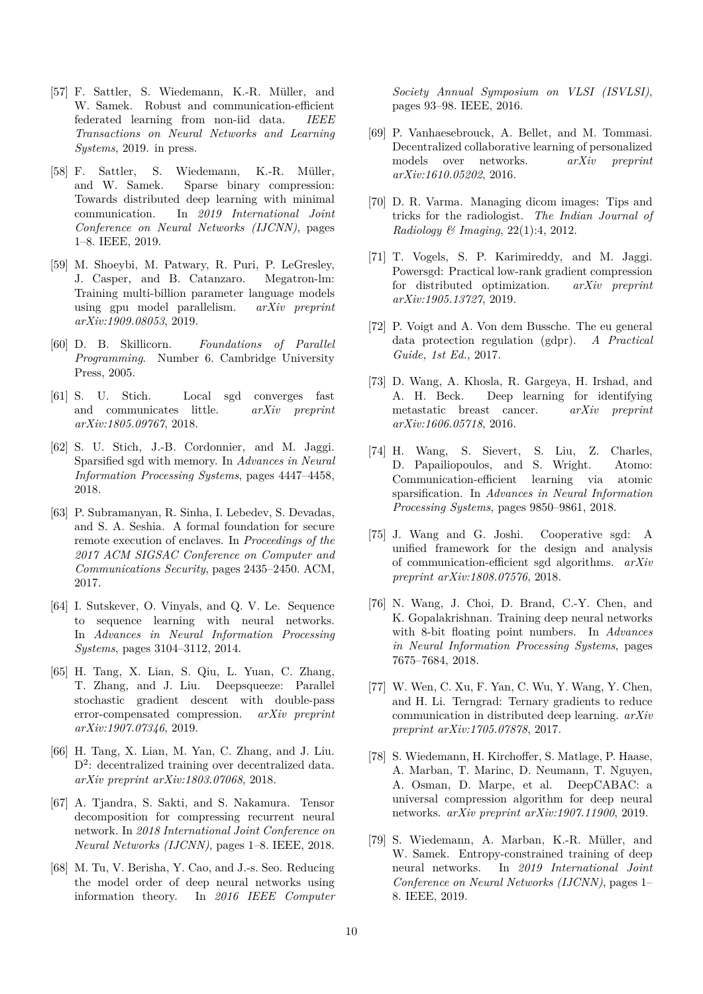- [57] F. Sattler, S. Wiedemann, K.-R. Müller, and W. Samek. Robust and communication-efficient federated learning from non-iid data. *IEEE Transactions on Neural Networks and Learning Systems*, 2019. in press.
- [58] F. Sattler, S. Wiedemann, K.-R. Müller, and W. Samek. Sparse binary compression: Towards distributed deep learning with minimal communication. In *2019 International Joint Conference on Neural Networks (IJCNN)*, pages 1–8. IEEE, 2019.
- [59] M. Shoeybi, M. Patwary, R. Puri, P. LeGresley, J. Casper, and B. Catanzaro. Megatron-lm: Training multi-billion parameter language models using gpu model parallelism. *arXiv preprint arXiv:1909.08053*, 2019.
- [60] D. B. Skillicorn. *Foundations of Parallel Programming*. Number 6. Cambridge University Press, 2005.
- [61] S. U. Stich. Local sgd converges fast and communicates little. *arXiv preprint arXiv:1805.09767*, 2018.
- [62] S. U. Stich, J.-B. Cordonnier, and M. Jaggi. Sparsified sgd with memory. In *Advances in Neural Information Processing Systems*, pages 4447–4458, 2018.
- [63] P. Subramanyan, R. Sinha, I. Lebedev, S. Devadas, and S. A. Seshia. A formal foundation for secure remote execution of enclaves. In *Proceedings of the 2017 ACM SIGSAC Conference on Computer and Communications Security*, pages 2435–2450. ACM, 2017.
- [64] I. Sutskever, O. Vinyals, and Q. V. Le. Sequence to sequence learning with neural networks. In *Advances in Neural Information Processing Systems*, pages 3104–3112, 2014.
- [65] H. Tang, X. Lian, S. Qiu, L. Yuan, C. Zhang, T. Zhang, and J. Liu. Deepsqueeze: Parallel stochastic gradient descent with double-pass error-compensated compression. *arXiv preprint arXiv:1907.07346*, 2019.
- [66] H. Tang, X. Lian, M. Yan, C. Zhang, and J. Liu. D<sup>2</sup>: decentralized training over decentralized data. *arXiv preprint arXiv:1803.07068*, 2018.
- [67] A. Tjandra, S. Sakti, and S. Nakamura. Tensor decomposition for compressing recurrent neural network. In *2018 International Joint Conference on Neural Networks (IJCNN)*, pages 1–8. IEEE, 2018.
- [68] M. Tu, V. Berisha, Y. Cao, and J.-s. Seo. Reducing the model order of deep neural networks using information theory. In *2016 IEEE Computer*

*Society Annual Symposium on VLSI (ISVLSI)*, pages 93–98. IEEE, 2016.

- [69] P. Vanhaesebrouck, A. Bellet, and M. Tommasi. Decentralized collaborative learning of personalized models over networks. *arXiv preprint arXiv:1610.05202*, 2016.
- [70] D. R. Varma. Managing dicom images: Tips and tricks for the radiologist. *The Indian Journal of Radiology & Imaging*, 22(1):4, 2012.
- [71] T. Vogels, S. P. Karimireddy, and M. Jaggi. Powersgd: Practical low-rank gradient compression for distributed optimization. *arXiv preprint arXiv:1905.13727*, 2019.
- [72] P. Voigt and A. Von dem Bussche. The eu general data protection regulation (gdpr). *A Practical Guide, 1st Ed.*, 2017.
- [73] D. Wang, A. Khosla, R. Gargeya, H. Irshad, and A. H. Beck. Deep learning for identifying metastatic breast cancer. *arXiv preprint arXiv:1606.05718*, 2016.
- [74] H. Wang, S. Sievert, S. Liu, Z. Charles, D. Papailiopoulos, and S. Wright. Atomo: Communication-efficient learning via atomic sparsification. In *Advances in Neural Information Processing Systems*, pages 9850–9861, 2018.
- [75] J. Wang and G. Joshi. Cooperative sgd: A unified framework for the design and analysis of communication-efficient sgd algorithms. *arXiv preprint arXiv:1808.07576*, 2018.
- [76] N. Wang, J. Choi, D. Brand, C.-Y. Chen, and K. Gopalakrishnan. Training deep neural networks with 8-bit floating point numbers. In *Advances in Neural Information Processing Systems*, pages 7675–7684, 2018.
- [77] W. Wen, C. Xu, F. Yan, C. Wu, Y. Wang, Y. Chen, and H. Li. Terngrad: Ternary gradients to reduce communication in distributed deep learning. *arXiv preprint arXiv:1705.07878*, 2017.
- [78] S. Wiedemann, H. Kirchoffer, S. Matlage, P. Haase, A. Marban, T. Marinc, D. Neumann, T. Nguyen, A. Osman, D. Marpe, et al. DeepCABAC: a universal compression algorithm for deep neural networks. *arXiv preprint arXiv:1907.11900*, 2019.
- [79] S. Wiedemann, A. Marban, K.-R. Müller, and W. Samek. Entropy-constrained training of deep neural networks. In *2019 International Joint Conference on Neural Networks (IJCNN)*, pages 1– 8. IEEE, 2019.